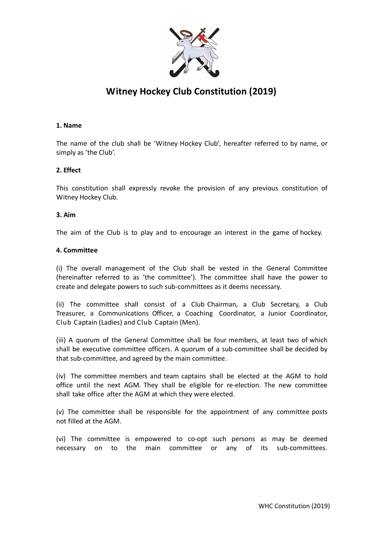

# **Witney Hockey Club Constitution (2019)**

## **1. Name**

The name of the club shall be 'Witney Hockey Club', hereafter referred to by name, or simply as 'the Club'.

# **2. Effect**

This constitution shall expressly revoke the provision of any previous constitution of Witney Hockey Club.

#### **3. Aim**

The aim of the Club is to play and to encourage an interest in the game of hockey.

#### **4. Committee**

(i) The overall management of the Club shall be vested in the General Committee (hereinafter referred to as 'the committee'). The committee shall have the power to create and delegate powers to such sub-committees as it deems necessary.

(ii) The committee shall consist of a Club Chairman, a Club Secretary, a Club Treasurer, a Communications Officer, a Coaching Coordinator, a Junior Coordinator, Club Captain (Ladies) and Club Captain (Men).

(iii) A quorum of the General Committee shall be four members, at least two of which shall be executive committee officers. A quorum of a sub-committee shall be decided by that sub-committee, and agreed by the main committee.

(iv) The committee members and team captains shall be elected at the AGM to hold office until the next AGM. They shall be eligible for re-election. The new committee shall take office after the AGM at which they were elected.

(v) The committee shall be responsible for the appointment of any committee posts not filled at the AGM.

(vi) The committee is empowered to co-opt such persons as may be deemed necessary on to the main committee or any of its sub-committees.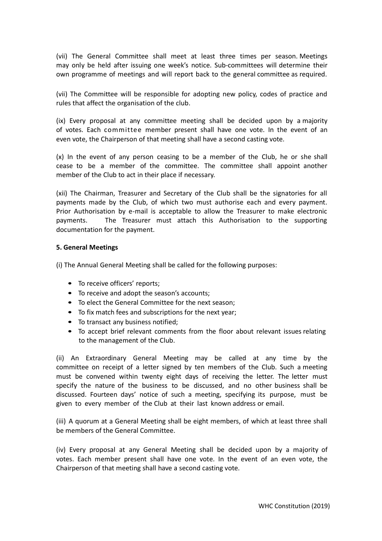(vii) The General Committee shall meet at least three times per season. Meetings may only be held after issuing one week's notice. Sub-committees will determine their own programme of meetings and will report back to the general committee as required.

(vii) The Committee will be responsible for adopting new policy, codes of practice and rules that affect the organisation of the club.

(ix) Every proposal at any committee meeting shall be decided upon by a majority of votes. Each committee member present shall have one vote. In the event of an even vote, the Chairperson of that meeting shall have a second casting vote.

(x) In the event of any person ceasing to be a member of the Club, he or she shall cease to be a member of the committee. The committee shall appoint another member of the Club to act in their place if necessary.

(xii) The Chairman, Treasurer and Secretary of the Club shall be the signatories for all payments made by the Club, of which two must authorise each and every payment. Prior Authorisation by e-mail is acceptable to allow the Treasurer to make electronic payments. The Treasurer must attach this Authorisation to the supporting documentation for the payment.

#### **5. General Meetings**

(i) The Annual General Meeting shall be called for the following purposes:

- To receive officers' reports:
- To receive and adopt the season's accounts;
- To elect the General Committee for the next season;
- To fix match fees and subscriptions for the next year;
- To transact any business notified;
- To accept brief relevant comments from the floor about relevant issues relating to the management of the Club.

(ii) An Extraordinary General Meeting may be called at any time by the committee on receipt of a letter signed by ten members of the Club. Such a meeting must be convened within twenty eight days of receiving the letter. The letter must specify the nature of the business to be discussed, and no other business shall be discussed. Fourteen days' notice of such a meeting, specifying its purpose, must be given to every member of the Club at their last known address or email.

(iii) A quorum at a General Meeting shall be eight members, of which at least three shall be members of the General Committee.

(iv) Every proposal at any General Meeting shall be decided upon by a majority of votes. Each member present shall have one vote. In the event of an even vote, the Chairperson of that meeting shall have a second casting vote.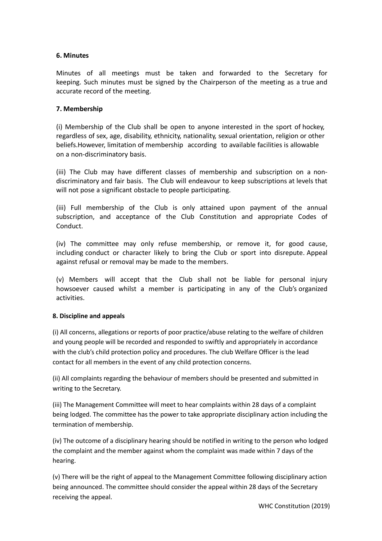# **6. Minutes**

Minutes of all meetings must be taken and forwarded to the Secretary for keeping. Such minutes must be signed by the Chairperson of the meeting as a true and accurate record of the meeting.

## **7. Membership**

(i) Membership of the Club shall be open to anyone interested in the sport of hockey, regardless of sex, age, disability, ethnicity, nationality, sexual orientation, religion or other beliefs.However, limitation of membership according to available facilities is allowable on a non-discriminatory basis.

(iii) The Club may have different classes of membership and subscription on a nondiscriminatory and fair basis. The Club will endeavour to keep subscriptions at levels that will not pose a significant obstacle to people participating.

(iii) Full membership of the Club is only attained upon payment of the annual subscription, and acceptance of the Club Constitution and appropriate Codes of Conduct.

(iv) The committee may only refuse membership, or remove it, for good cause, including conduct or character likely to bring the Club or sport into disrepute. Appeal against refusal or removal may be made to the members.

(v) Members will accept that the Club shall not be liable for personal injury howsoever caused whilst a member is participating in any of the Club's organized activities.

#### **8. Discipline and appeals**

(i) All concerns, allegations or reports of poor practice/abuse relating to the welfare of children and young people will be recorded and responded to swiftly and appropriately in accordance with the club's child protection policy and procedures. The club Welfare Officer is the lead contact for all members in the event of any child protection concerns.

(ii) All complaints regarding the behaviour of members should be presented and submitted in writing to the Secretary.

(iii) The Management Committee will meet to hear complaints within 28 days of a complaint being lodged. The committee has the power to take appropriate disciplinary action including the termination of membership.

(iv) The outcome of a disciplinary hearing should be notified in writing to the person who lodged the complaint and the member against whom the complaint was made within 7 days of the hearing.

(v) There will be the right of appeal to the Management Committee following disciplinary action being announced. The committee should consider the appeal within 28 days of the Secretary receiving the appeal.